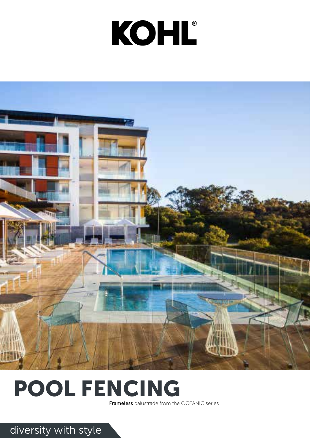### diversity with style

# KOHL®





### POOL FENCING

Frameless balustrade from the OCEANIC series.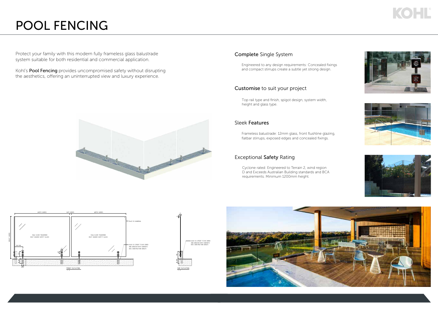#### Sleek Features

Frameless balustrade: 12mm glass, front flushline glazing, flatbar stirrups, exposed edges and concealed fixings.

#### Customise to suit your project

Top rail type and finish, spigot design, system width, height and glass type.

Kohl's Pool Fencing provides uncompromised safety without disrupting the aesthetics, offering an uninterrupted view and luxury experience.



Protect your family with this modern fully frameless glass balustrade system suitable for both residential and commercial application.

#### Exceptional Safety Rating

Cyclone rated: Engineered to Terrain 2, wind region D and Exceeds Australian Building standards and BCA requirements. Minimum 1200mm height.









#### Complete Single System

Engineered to any design requirements: Concealed fixings and compact stirrups create a subtle yet strong design.

### POOL FENCING



## KOHL